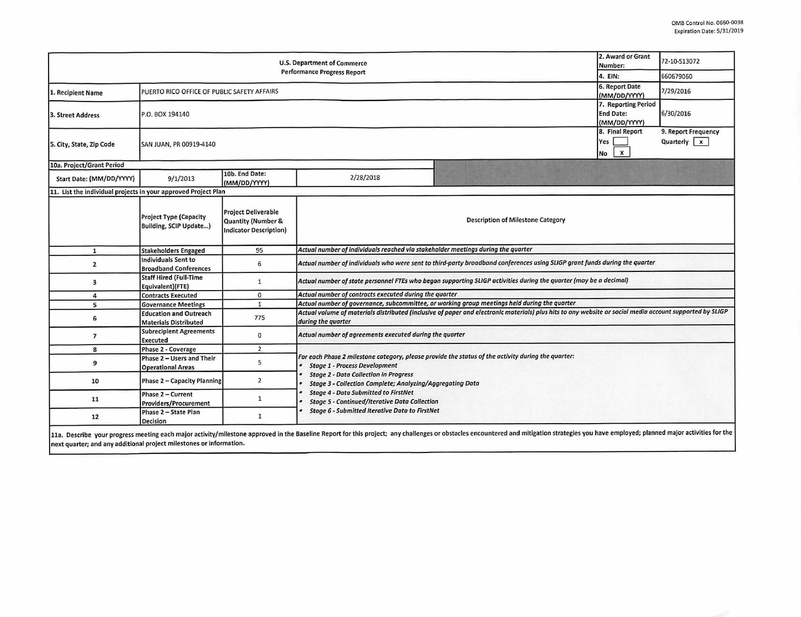| <b>U.S. Department of Commerce</b><br><b>Performance Progress Report</b> |                                                               |                                                                            |                                                                                                                                                                                                                                                                                                                                                                       |  | 2. Award or Grant<br>Number:                 | 72-10-S13072                         |  |  |  |
|--------------------------------------------------------------------------|---------------------------------------------------------------|----------------------------------------------------------------------------|-----------------------------------------------------------------------------------------------------------------------------------------------------------------------------------------------------------------------------------------------------------------------------------------------------------------------------------------------------------------------|--|----------------------------------------------|--------------------------------------|--|--|--|
|                                                                          |                                                               |                                                                            |                                                                                                                                                                                                                                                                                                                                                                       |  | 4. EIN:                                      | 660679060                            |  |  |  |
| 1. Recipient Name                                                        | PUERTO RICO OFFICE OF PUBLIC SAFETY AFFAIRS                   |                                                                            |                                                                                                                                                                                                                                                                                                                                                                       |  | 6. Report Date<br>(MM/DD/YYYY)               | 7/29/2016                            |  |  |  |
| 3. Street Address                                                        | <b>End Date:</b><br>P.O. BOX 194140<br>(MM/DD/YYYY)           |                                                                            |                                                                                                                                                                                                                                                                                                                                                                       |  |                                              | 6/30/2016                            |  |  |  |
| 5. City, State, Zip Code                                                 | SAN JUAN, PR 00919-4140                                       |                                                                            |                                                                                                                                                                                                                                                                                                                                                                       |  | 8. Final Report<br>Yes<br>$\mathbf{x}$<br>No | 9. Report Frequency<br>Quarterly   x |  |  |  |
| 10a. Project/Grant Period                                                |                                                               |                                                                            |                                                                                                                                                                                                                                                                                                                                                                       |  |                                              |                                      |  |  |  |
| Start Date: (MM/DD/YYYY)                                                 | 9/1/2013                                                      | 10b. End Date:<br>(MM/DD/YYYY)                                             | 2/28/2018                                                                                                                                                                                                                                                                                                                                                             |  |                                              |                                      |  |  |  |
| 11. List the individual projects in your approved Project Plan           |                                                               |                                                                            |                                                                                                                                                                                                                                                                                                                                                                       |  |                                              |                                      |  |  |  |
|                                                                          | <b>Project Type (Capacity</b><br>Building, SCIP Update)       | <b>Project Deliverable</b><br>Quantity (Number &<br>Indicator Description) | <b>Description of Milestone Category</b>                                                                                                                                                                                                                                                                                                                              |  |                                              |                                      |  |  |  |
| $\mathbf{1}$                                                             | <b>Stakeholders Engaged</b>                                   | 95                                                                         | Actual number of individuals reached via stakeholder meetings during the quarter                                                                                                                                                                                                                                                                                      |  |                                              |                                      |  |  |  |
| $\overline{2}$                                                           | <b>Individuals Sent to</b><br><b>Broadband Conferences</b>    | 6                                                                          | Actual number of individuals who were sent to third-party broadband conferences using SLIGP grant funds during the quarter                                                                                                                                                                                                                                            |  |                                              |                                      |  |  |  |
| 3                                                                        | <b>Staff Hired (Full-Time</b><br>Equivalent)(FTE)             | $\mathbf{1}$                                                               | Actual number of state personnel FTEs who began supporting SLIGP activities during the quarter (may be a decimal)                                                                                                                                                                                                                                                     |  |                                              |                                      |  |  |  |
| 4                                                                        | <b>Contracts Executed</b>                                     | 0                                                                          | Actual number of contracts executed during the quarter                                                                                                                                                                                                                                                                                                                |  |                                              |                                      |  |  |  |
| 5                                                                        | <b>Governance Meetings</b>                                    | $\mathbf{1}$                                                               | Actual number of governance, subcommittee, or working group meetings held during the quarter                                                                                                                                                                                                                                                                          |  |                                              |                                      |  |  |  |
| 6                                                                        | <b>Education and Outreach</b><br><b>Materials Distributed</b> | 775                                                                        | Actual volume of materials distributed (inclusive of paper and electronic materials) plus hits to any website or social media account supported by SLIGP<br>during the quarter                                                                                                                                                                                        |  |                                              |                                      |  |  |  |
| $\overline{7}$                                                           | <b>Subrecipient Agreements</b><br><b>Executed</b>             | 0                                                                          | Actual number of agreements executed during the quarter                                                                                                                                                                                                                                                                                                               |  |                                              |                                      |  |  |  |
| 8                                                                        | Phase 2 - Coverage                                            | $\overline{2}$                                                             |                                                                                                                                                                                                                                                                                                                                                                       |  |                                              |                                      |  |  |  |
| 9                                                                        | Phase 2 - Users and Their<br><b>Operational Areas</b>         | 5                                                                          | For each Phase 2 milestone category, please provide the status of the activity during the quarter:<br><b>Stage 1 - Process Development</b><br><b>Stage 2 - Data Collection in Progress</b><br><b>Stage 3 - Collection Complete; Analyzing/Aggregating Data</b><br><b>Stage 4 - Data Submitted to FirstNet</b><br><b>Stage 5 - Continued/Iterative Data Collection</b> |  |                                              |                                      |  |  |  |
| 10                                                                       | Phase 2 - Capacity Planning                                   | $\overline{2}$                                                             |                                                                                                                                                                                                                                                                                                                                                                       |  |                                              |                                      |  |  |  |
| 11                                                                       | Phase 2 - Current<br><b>Providers/Procurement</b>             | $\mathbf{1}$                                                               |                                                                                                                                                                                                                                                                                                                                                                       |  |                                              |                                      |  |  |  |
| 12                                                                       | Phase 2 - State Plan<br><b>Decision</b>                       | $\mathbf{1}$                                                               | <b>Stage 6 - Submitted Iterative Data to FirstNet</b>                                                                                                                                                                                                                                                                                                                 |  |                                              |                                      |  |  |  |

11a. Describe your progress meeting each major activity/milestone approved in the Baseline Report for this project; any challenges or obstacles encountered and mitigation strategies you have employed; planned major activit next quarter; and any additional project milestones or information.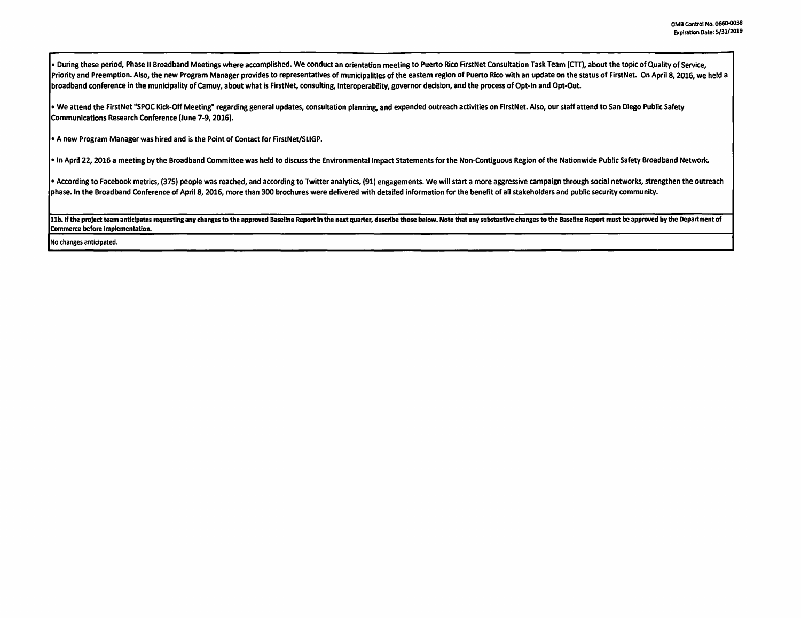• During these period, Phase II Broadband Meetings where accomplished. We conduct an orientation meeting to Puerto Rico FlrstNet Consultation Task Team (CTT), about the topic of Quality of Service, Priority and Preemption. Also, the new Program Manager provides to representatives of municipalities of the eastern region of Puerto Rico with an update on the status of FirstNet. On April 8, 2016, we held a broadband conference in the municipality of Camuy, about what is FirstNet, consulting, interoperability, governor decision, and the process of Opt-In and Opt-Out.

• We attend the FirstNet "SPOC Kick-Off Meeting" regarding general updates, consultation planning, and expanded outreach activities on FirstNet. Also, our staff attend to San Diego Public Safety Communications Research Conference (June 7-9, 2016).

• A new Program Manager was hired and is the Point of Contact for FlrstNet/SLIGP.

• In April 22, 2016 a meeting by the Broadband Committee was held to discuss the Environmental Impact Statements for the Non-Contiguous Region of the Nationwide Public Safety Broadband Network.

• According to Facebook metrics, (375) people was reached, and according to Twitter analytics, (91) engagements. We will start a more aggressive campaign through social networks, strengthen the outreach phase. In the Broadband Conference of April 8, 2016, more than 300 brochures were delivered with detailed information for the benefit of all stakeholders and public security community.

11b. If the project team anticipates requesting any changes to the approved Baseline Report in the next quarter, describe those below. Note that any substantive changes to the Baseline Report must be approved by the Depart Commerce before Implementation.

No changes anticipated.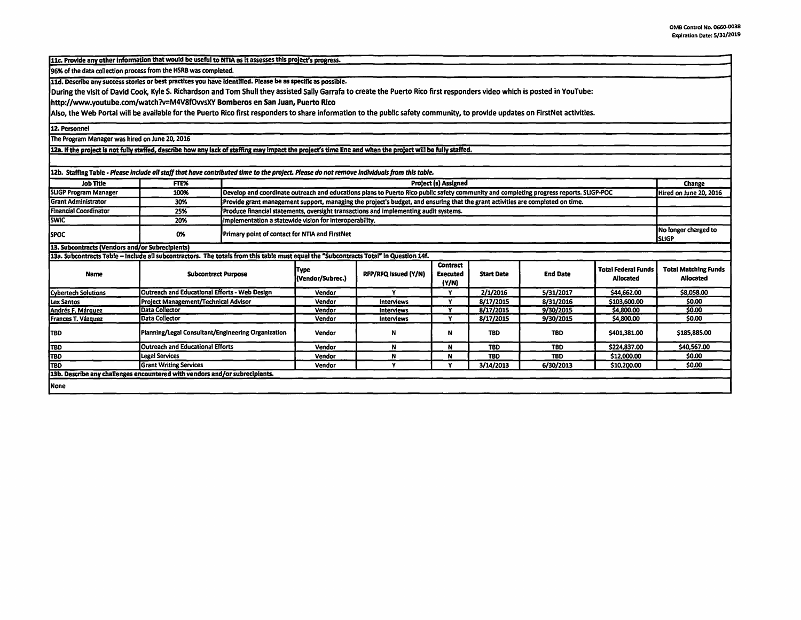11c. Provide any other information that would be useful to NTIA as it assesses this project's progress.

96% of the data collection process from the HSRB was completed.

11d. Describe any success stories or best practices you have identified. Please be as specific as possible.

During the visit of David Cook, Kyle S. Richardson and Tom Shull they assisted Sally Garrafa to create the Puerto Rico first responders video which is posted in YouTube:

http://www.youtube.com/watch?v=M4V8fOwsXY Bomberos en San Juan, Puerto **Rico** 

Also, the Web Portal will be available for the Puerto Rico first responders to share information to the public safety community, to provide updates on FirstNet activities.

12, Personnel

The Program Manager was hired on June 20, 2016

12a. If the project is not fully staffed, describe how any lack of staffing may impact the project's time line and when the project will be fully staffed.

| 12b. Staffing Table - Please include all staff that have contributed time to the project. Please do not remove individuals from this table. |                                                    |                                                                                                                                        |                          |                      |                                      |                   |                 |                                         |                                          |
|---------------------------------------------------------------------------------------------------------------------------------------------|----------------------------------------------------|----------------------------------------------------------------------------------------------------------------------------------------|--------------------------|----------------------|--------------------------------------|-------------------|-----------------|-----------------------------------------|------------------------------------------|
| <b>Job Title</b>                                                                                                                            | FTE%                                               | <b>Project (s) Assigned</b>                                                                                                            |                          |                      |                                      |                   |                 |                                         | Change                                   |
| <b>SLIGP Program Manager</b>                                                                                                                | 100%                                               | Develop and coordinate outreach and educations plans to Puerto Rico public safety community and completing progress reports. SLIGP-POC |                          |                      |                                      |                   |                 | Hired on June 20, 2016                  |                                          |
| <b>Grant Administrator</b>                                                                                                                  | 30%                                                | Provide grant management support, managing the project's budget, and ensuring that the grant activities are completed on time.         |                          |                      |                                      |                   |                 |                                         |                                          |
| <b>Financial Coordinator</b>                                                                                                                | 25%                                                | Produce financial statements, oversight transactions and implementing audit systems.                                                   |                          |                      |                                      |                   |                 |                                         |                                          |
| <b>SWIC</b>                                                                                                                                 | 20%                                                | Implementation a statewide vision for interoperability.                                                                                |                          |                      |                                      |                   |                 |                                         |                                          |
| <b>ISPOC</b>                                                                                                                                | 0%                                                 | Primary point of contact for NTIA and FirstNet                                                                                         |                          |                      |                                      |                   |                 |                                         | No longer charged to<br><b>I</b> SLIGP   |
| 13. Subcontracts (Vendors and/or Subrecipients)                                                                                             |                                                    |                                                                                                                                        |                          |                      |                                      |                   |                 |                                         |                                          |
| 13a. Subcontracts Table - Include all subcontractors. The totals from this table must equal the "Subcontracts Total" in Question 14f.       |                                                    |                                                                                                                                        |                          |                      |                                      |                   |                 |                                         |                                          |
| Name                                                                                                                                        | <b>Subcontract Purpose</b>                         |                                                                                                                                        | Type<br>(Vendor/Subrec.) | RFP/RFQ Issued (Y/N) | <b>Contract</b><br>Executed<br>(Y/N) | <b>Start Date</b> | <b>End Date</b> | <b>Total Federal Funds</b><br>Allocated | <b>Total Matching Funds</b><br>Allocated |
| <b>Cybertech Solutions</b>                                                                                                                  | Outreach and Educational Efforts - Web Design      |                                                                                                                                        | Vendor                   | v                    | v                                    | 2/1/2016          | 5/31/2017       | \$44,662.00                             | \$8,058.00                               |
| Lex Santos                                                                                                                                  | Project Management/Technical Advisor               |                                                                                                                                        | Vendor                   | <b>Interviews</b>    | v                                    | 8/17/2015         | 8/31/2016       | \$103,600.00                            | \$0.00                                   |
| Andrés F. Márquez                                                                                                                           | <b>Data Collector</b>                              |                                                                                                                                        | Vendor                   | Interviews           | $\bullet$                            | 8/17/2015         | 9/30/2015       | \$4,800.00                              | \$0.00                                   |
| Frances T. Vázquez                                                                                                                          | Data Collector                                     |                                                                                                                                        | Vendor                   | Interviews           | $\checkmark$                         | 8/17/2015         | 9/30/2015       | \$4,800.00                              | \$0.00                                   |
| <b>TBD</b>                                                                                                                                  | Planning/Legal Consultant/Engineering Organization |                                                                                                                                        | Vendor                   | N                    | N                                    | <b>TBD</b>        | <b>TBD</b>      | \$401,381.00                            | \$185,885.00                             |
| TBD                                                                                                                                         | <b>Outreach and Educational Efforts</b>            |                                                                                                                                        | Vendor                   | N                    | N                                    | <b>TBD</b>        | <b>TBD</b>      | \$224,837.00                            | \$40,567.00                              |
| 1tbd                                                                                                                                        | Legal Services                                     |                                                                                                                                        | Vendor                   | N                    | N                                    | <b>TBD</b>        | <b>TBD</b>      | \$12,000.00                             | \$0.00                                   |
| <b>TBD</b>                                                                                                                                  | <b>IGrant Writing Services</b>                     |                                                                                                                                        | Vendor                   | $\cdot$              | v                                    | 3/14/2013         | 6/30/2013       | \$10,200.00                             | \$0.00                                   |
| 13b. Describe any challenges encountered with vendors and/or subrecipients.                                                                 |                                                    |                                                                                                                                        |                          |                      |                                      |                   |                 |                                         |                                          |
| None                                                                                                                                        |                                                    |                                                                                                                                        |                          |                      |                                      |                   |                 |                                         |                                          |